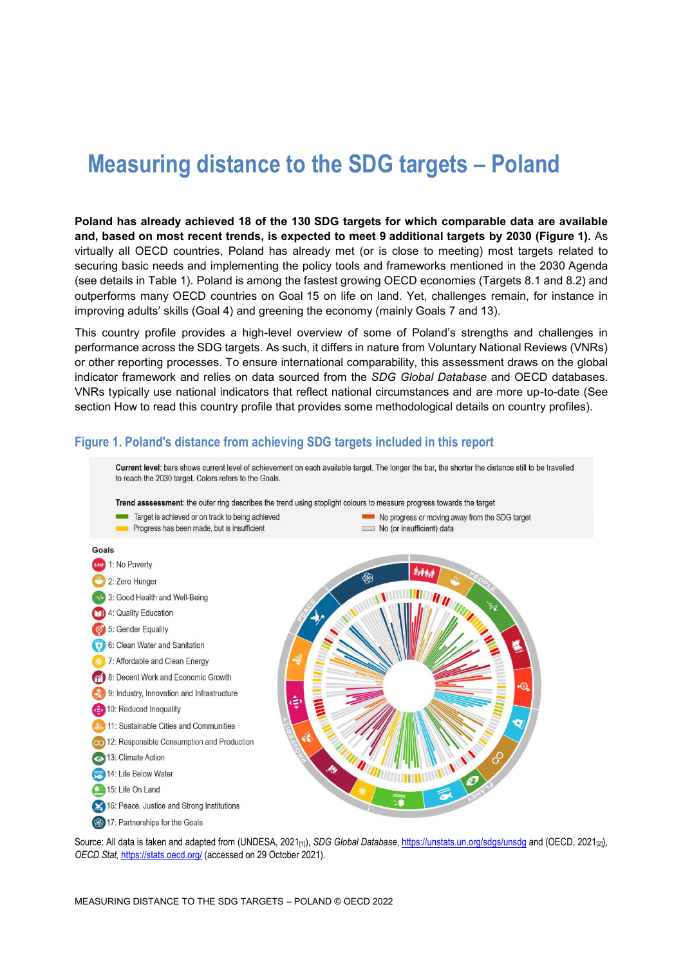# **Measuring distance to the SDG targets – Poland**

**Poland has already achieved 18 of the 130 SDG targets for which comparable data are available and, based on most recent trends, is expected to meet 9 additional targets by 2030 [\(Figure](#page-0-0) 1).** As virtually all OECD countries, Poland has already met (or is close to meeting) most targets related to securing basic needs and implementing the policy tools and frameworks mentioned in the 2030 Agenda (see details in [Table](#page-4-0) 1). Poland is among the fastest growing OECD economies (Targets 8.1 and 8.2) and outperforms many OECD countries on Goal 15 on life on land. Yet, challenges remain, for instance in improving adults' skills (Goal 4) and greening the economy (mainly Goals 7 and 13).

This country profile provides a high-level overview of some of Poland's strengths and challenges in performance across the SDG targets. As such, it differs in nature from Voluntary National Reviews (VNRs) or other reporting processes. To ensure international comparability, this assessment draws on the global indicator framework and relies on data sourced from the *SDG Global Database* and OECD databases. VNRs typically use national indicators that reflect national circumstances and are more up-to-date (See section [How to read this](#page-8-0) country profile that provides some methodological details on country profiles).



<span id="page-0-0"></span>**Figure 1. Poland's distance from achieving SDG targets included in this report**

Source: All data is taken and adapted from (UNDESA, 2021<sub>[1]</sub>), *SDG Global Database*[, https://unstats.un.org/sdgs/unsdg](https://unstats.un.org/sdgs/unsdg) and (OECD, 2021<sub>[2]</sub>), *OECD.Stat,* <https://stats.oecd.org/> (accessed on 29 October 2021).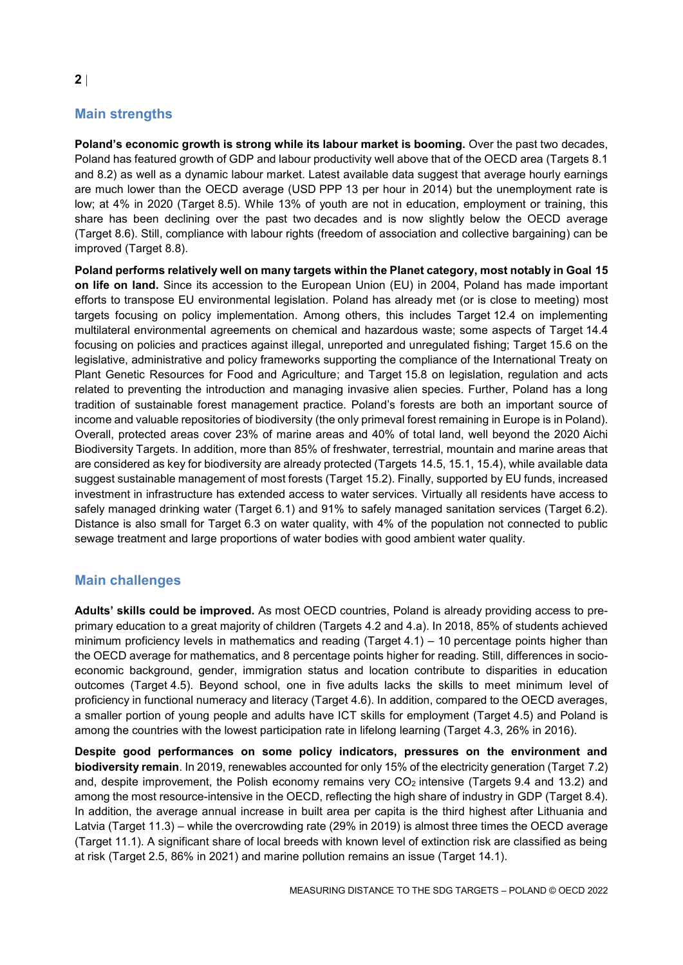# **Main strengths**

**Poland's economic growth is strong while its labour market is booming.** Over the past two decades, Poland has featured growth of GDP and labour productivity well above that of the OECD area (Targets 8.1 and 8.2) as well as a dynamic labour market. Latest available data suggest that average hourly earnings are much lower than the OECD average (USD PPP 13 per hour in 2014) but the unemployment rate is low; at 4% in 2020 (Target 8.5). While 13% of youth are not in education, employment or training, this share has been declining over the past two decades and is now slightly below the OECD average (Target 8.6). Still, compliance with labour rights (freedom of association and collective bargaining) can be improved (Target 8.8).

**Poland performs relatively well on many targets within the Planet category, most notably in Goal 15 on life on land.** Since its accession to the European Union (EU) in 2004, Poland has made important efforts to transpose EU environmental legislation. Poland has already met (or is close to meeting) most targets focusing on policy implementation. Among others, this includes Target 12.4 on implementing multilateral environmental agreements on chemical and hazardous waste; some aspects of Target 14.4 focusing on policies and practices against illegal, unreported and unregulated fishing; Target 15.6 on the legislative, administrative and policy frameworks supporting the compliance of the International Treaty on Plant Genetic Resources for Food and Agriculture; and Target 15.8 on legislation, regulation and acts related to preventing the introduction and managing invasive alien species. Further, Poland has a long tradition of sustainable forest management practice. Poland's forests are both an important source of income and valuable repositories of biodiversity (the only primeval forest remaining in Europe is in Poland). Overall, protected areas cover 23% of marine areas and 40% of total land, well beyond the 2020 Aichi Biodiversity Targets. In addition, more than 85% of freshwater, terrestrial, mountain and marine areas that are considered as key for biodiversity are already protected (Targets 14.5, 15.1, 15.4), while available data suggest sustainable management of most forests (Target 15.2). Finally, supported by EU funds, increased investment in infrastructure has extended access to water services. Virtually all residents have access to safely managed drinking water (Target 6.1) and 91% to safely managed sanitation services (Target 6.2). Distance is also small for Target 6.3 on water quality, with 4% of the population not connected to public sewage treatment and large proportions of water bodies with good ambient water quality.

## **Main challenges**

**Adults' skills could be improved.** As most OECD countries, Poland is already providing access to preprimary education to a great majority of children (Targets 4.2 and 4.a). In 2018, 85% of students achieved minimum proficiency levels in mathematics and reading (Target 4.1) – 10 percentage points higher than the OECD average for mathematics, and 8 percentage points higher for reading. Still, differences in socioeconomic background, gender, immigration status and location contribute to disparities in education outcomes (Target 4.5). Beyond school, one in five adults lacks the skills to meet minimum level of proficiency in functional numeracy and literacy (Target 4.6). In addition, compared to the OECD averages, a smaller portion of young people and adults have ICT skills for employment (Target 4.5) and Poland is among the countries with the lowest participation rate in lifelong learning (Target 4.3, 26% in 2016).

**Despite good performances on some policy indicators, pressures on the environment and biodiversity remain**. In 2019, renewables accounted for only 15% of the electricity generation (Target 7.2) and, despite improvement, the Polish economy remains very  $CO<sub>2</sub>$  intensive (Targets 9.4 and 13.2) and among the most resource-intensive in the OECD, reflecting the high share of industry in GDP (Target 8.4). In addition, the average annual increase in built area per capita is the third highest after Lithuania and Latvia (Target 11.3) – while the overcrowding rate (29% in 2019) is almost three times the OECD average (Target 11.1). A significant share of local breeds with known level of extinction risk are classified as being at risk (Target 2.5, 86% in 2021) and marine pollution remains an issue (Target 14.1).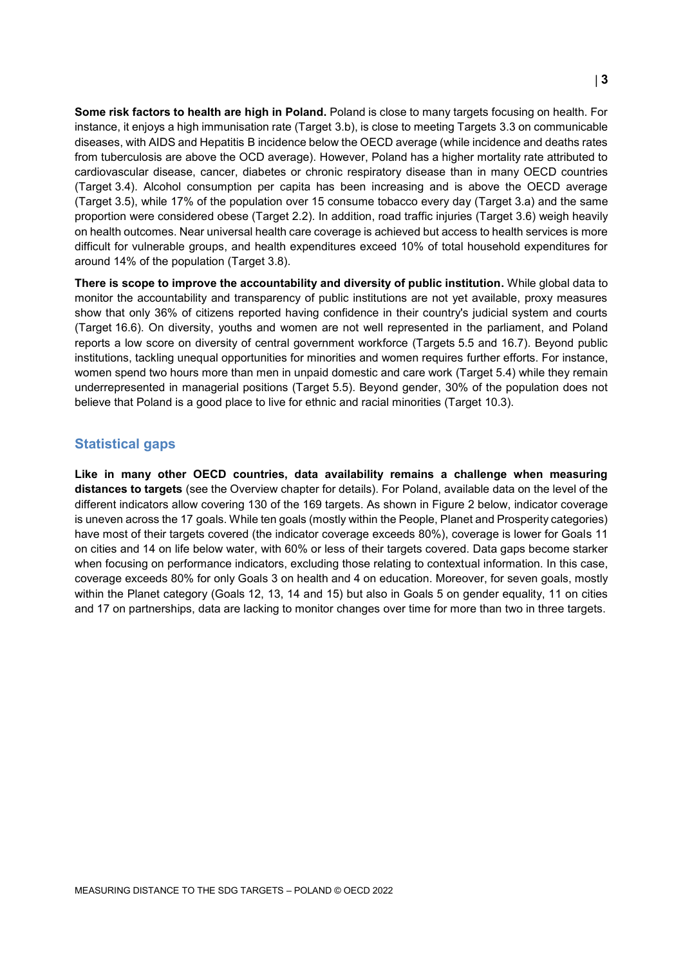**Some risk factors to health are high in Poland.** Poland is close to many targets focusing on health. For instance, it enjoys a high immunisation rate (Target 3.b), is close to meeting Targets 3.3 on communicable diseases, with AIDS and Hepatitis B incidence below the OECD average (while incidence and deaths rates from tuberculosis are above the OCD average). However, Poland has a higher mortality rate attributed to cardiovascular disease, cancer, diabetes or chronic respiratory disease than in many OECD countries (Target 3.4). Alcohol consumption per capita has been increasing and is above the OECD average (Target 3.5), while 17% of the population over 15 consume tobacco every day (Target 3.a) and the same proportion were considered obese (Target 2.2). In addition, road traffic injuries (Target 3.6) weigh heavily on health outcomes. Near universal health care coverage is achieved but access to health services is more difficult for vulnerable groups, and health expenditures exceed 10% of total household expenditures for around 14% of the population (Target 3.8).

**There is scope to improve the accountability and diversity of public institution.** While global data to monitor the accountability and transparency of public institutions are not yet available, proxy measures show that only 36% of citizens reported having confidence in their country's judicial system and courts (Target 16.6). On diversity, youths and women are not well represented in the parliament, and Poland reports a low score on diversity of central government workforce (Targets 5.5 and 16.7). Beyond public institutions, tackling unequal opportunities for minorities and women requires further efforts. For instance, women spend two hours more than men in unpaid domestic and care work (Target 5.4) while they remain underrepresented in managerial positions (Target 5.5). Beyond gender, 30% of the population does not believe that Poland is a good place to live for ethnic and racial minorities (Target 10.3).

#### **Statistical gaps**

**Like in many other OECD countries, data availability remains a challenge when measuring distances to targets** (see the Overview chapter for details). For Poland, available data on the level of the different indicators allow covering 130 of the 169 targets. As shown in [Figure](#page-3-0) 2 below, indicator coverage is uneven across the 17 goals. While ten goals (mostly within the People, Planet and Prosperity categories) have most of their targets covered (the indicator coverage exceeds 80%), coverage is lower for Goals 11 on cities and 14 on life below water, with 60% or less of their targets covered. Data gaps become starker when focusing on performance indicators, excluding those relating to contextual information. In this case, coverage exceeds 80% for only Goals 3 on health and 4 on education. Moreover, for seven goals, mostly within the Planet category (Goals 12, 13, 14 and 15) but also in Goals 5 on gender equality, 11 on cities and 17 on partnerships, data are lacking to monitor changes over time for more than two in three targets.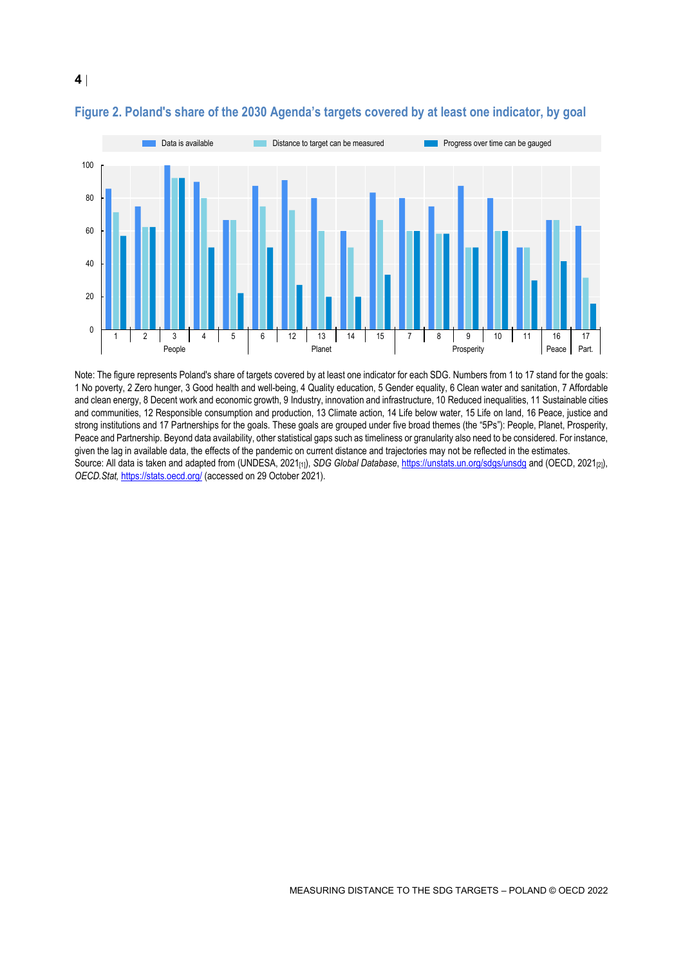

## <span id="page-3-0"></span>**Figure 2. Poland's share of the 2030 Agenda's targets covered by at least one indicator, by goal**

Note: The figure represents Poland's share of targets covered by at least one indicator for each SDG. Numbers from 1 to 17 stand for the goals: 1 No poverty, 2 Zero hunger, 3 Good health and well-being, 4 Quality education, 5 Gender equality, 6 Clean water and sanitation, 7 Affordable and clean energy, 8 Decent work and economic growth, 9 Industry, innovation and infrastructure, 10 Reduced inequalities, 11 Sustainable cities and communities, 12 Responsible consumption and production, 13 Climate action, 14 Life below water, 15 Life on land, 16 Peace, justice and strong institutions and 17 Partnerships for the goals. These goals are grouped under five broad themes (the "5Ps"): People, Planet, Prosperity, Peace and Partnership. Beyond data availability, other statistical gaps such as timeliness or granularity also need to be considered. For instance, given the lag in available data, the effects of the pandemic on current distance and trajectories may not be reflected in the estimates. Source: All data is taken and adapted from (UNDESA, 2021<sub>[1]</sub>), *SDG Global Database*[, https://unstats.un.org/sdgs/unsdg](https://unstats.un.org/sdgs/unsdg) and (OECD, 2021<sub>[2]</sub>), *OECD.Stat,* <https://stats.oecd.org/> (accessed on 29 October 2021).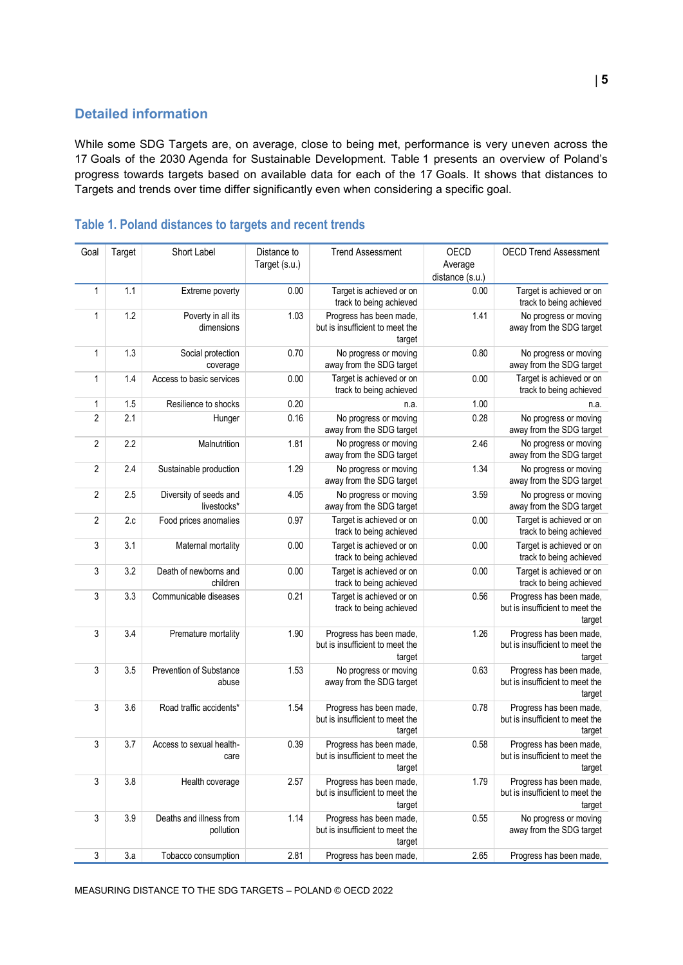## **Detailed information**

While some SDG Targets are, on average, close to being met, performance is very uneven across the 17 Goals of the 2030 Agenda for Sustainable Development. [Table](#page-4-0) 1 presents an overview of Poland's progress towards targets based on available data for each of the 17 Goals. It shows that distances to Targets and trends over time differ significantly even when considering a specific goal.

| Goal           | Target | Short Label                           | Distance to<br>Target (s.u.) | <b>Trend Assessment</b>                                              | OECD<br>Average<br>distance (s.u.) | <b>OECD Trend Assessment</b>                                         |
|----------------|--------|---------------------------------------|------------------------------|----------------------------------------------------------------------|------------------------------------|----------------------------------------------------------------------|
| $\mathbf{1}$   | 1.1    | Extreme poverty                       | 0.00                         | Target is achieved or on<br>track to being achieved                  | 0.00                               | Target is achieved or on<br>track to being achieved                  |
| 1              | 1.2    | Poverty in all its<br>dimensions      | 1.03                         | Progress has been made,<br>but is insufficient to meet the<br>target | 1.41                               | No progress or moving<br>away from the SDG target                    |
| $\mathbf{1}$   | 1.3    | Social protection<br>coverage         | 0.70                         | No progress or moving<br>away from the SDG target                    | 0.80                               | No progress or moving<br>away from the SDG target                    |
| 1              | 1.4    | Access to basic services              | 0.00                         | Target is achieved or on<br>track to being achieved                  | 0.00                               | Target is achieved or on<br>track to being achieved                  |
| 1              | 1.5    | Resilience to shocks                  | 0.20                         | n.a.                                                                 | 1.00                               | n.a.                                                                 |
| $\overline{2}$ | 2.1    | Hunger                                | 0.16                         | No progress or moving<br>away from the SDG target                    | 0.28                               | No progress or moving<br>away from the SDG target                    |
| $\overline{2}$ | 2.2    | Malnutrition                          | 1.81                         | No progress or moving<br>away from the SDG target                    | 2.46                               | No progress or moving<br>away from the SDG target                    |
| $\overline{2}$ | 2.4    | Sustainable production                | 1.29                         | No progress or moving<br>away from the SDG target                    | 1.34                               | No progress or moving<br>away from the SDG target                    |
| $\overline{2}$ | 2.5    | Diversity of seeds and<br>livestocks* | 4.05                         | No progress or moving<br>away from the SDG target                    | 3.59                               | No progress or moving<br>away from the SDG target                    |
| $\overline{2}$ | 2.c    | Food prices anomalies                 | 0.97                         | Target is achieved or on<br>track to being achieved                  | 0.00                               | Target is achieved or on<br>track to being achieved                  |
| 3              | 3.1    | Maternal mortality                    | 0.00                         | Target is achieved or on<br>track to being achieved                  | 0.00                               | Target is achieved or on<br>track to being achieved                  |
| 3              | 3.2    | Death of newborns and<br>children     | 0.00                         | Target is achieved or on<br>track to being achieved                  | 0.00                               | Target is achieved or on<br>track to being achieved                  |
| 3              | 3.3    | Communicable diseases                 | 0.21                         | Target is achieved or on<br>track to being achieved                  | 0.56                               | Progress has been made,<br>but is insufficient to meet the<br>target |
| 3              | 3.4    | Premature mortality                   | 1.90                         | Progress has been made,<br>but is insufficient to meet the<br>target | 1.26                               | Progress has been made,<br>but is insufficient to meet the<br>target |
| 3              | 3.5    | Prevention of Substance<br>abuse      | 1.53                         | No progress or moving<br>away from the SDG target                    | 0.63                               | Progress has been made,<br>but is insufficient to meet the<br>target |
| 3              | 3.6    | Road traffic accidents*               | 1.54                         | Progress has been made,<br>but is insufficient to meet the<br>target | 0.78                               | Progress has been made,<br>but is insufficient to meet the<br>target |
| 3              | 3.7    | Access to sexual health-<br>care      | 0.39                         | Progress has been made,<br>but is insufficient to meet the<br>target | 0.58                               | Progress has been made,<br>but is insufficient to meet the<br>target |
| 3              | 3.8    | Health coverage                       | 2.57                         | Progress has been made,<br>but is insufficient to meet the<br>target | 1.79                               | Progress has been made,<br>but is insufficient to meet the<br>target |
| 3              | 3.9    | Deaths and illness from<br>pollution  | 1.14                         | Progress has been made,<br>but is insufficient to meet the<br>target | 0.55                               | No progress or moving<br>away from the SDG target                    |
| $\mathfrak{Z}$ | 3.a    | Tobacco consumption                   | 2.81                         | Progress has been made,                                              | 2.65                               | Progress has been made,                                              |

# <span id="page-4-0"></span>**Table 1. Poland distances to targets and recent trends**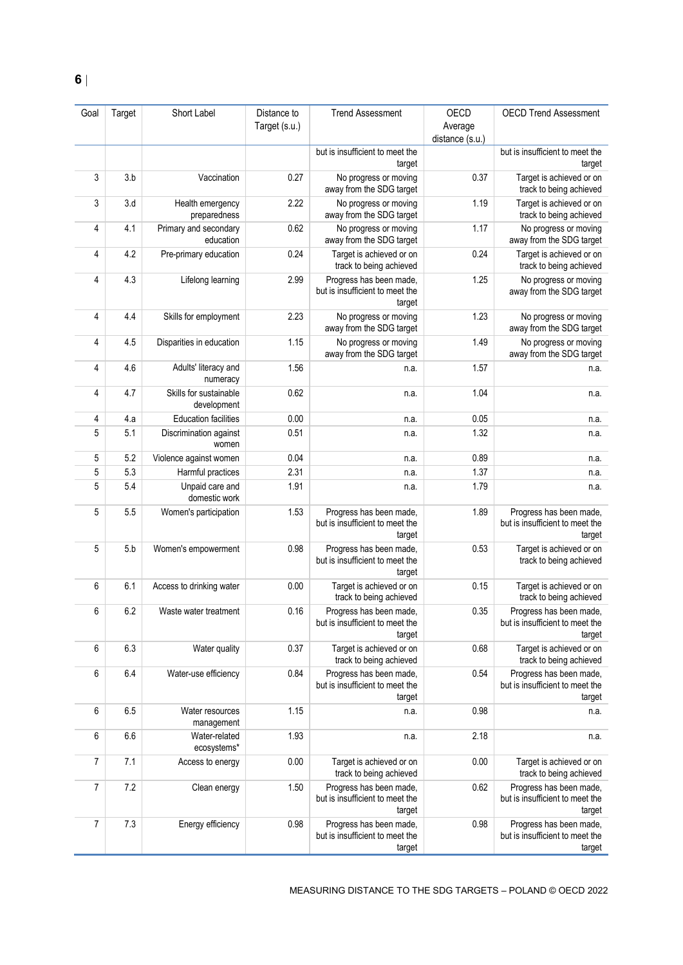| Goal | Target | Short Label                           | Distance to   | <b>Trend Assessment</b>                                              | OECD                       | <b>OECD Trend Assessment</b>                                         |
|------|--------|---------------------------------------|---------------|----------------------------------------------------------------------|----------------------------|----------------------------------------------------------------------|
|      |        |                                       | Target (s.u.) |                                                                      | Average<br>distance (s.u.) |                                                                      |
|      |        |                                       |               | but is insufficient to meet the<br>target                            |                            | but is insufficient to meet the<br>target                            |
| 3    | 3.b    | Vaccination                           | 0.27          | No progress or moving<br>away from the SDG target                    | 0.37                       | Target is achieved or on<br>track to being achieved                  |
| 3    | 3.d    | Health emergency<br>preparedness      | 2.22          | No progress or moving<br>away from the SDG target                    | 1.19                       | Target is achieved or on<br>track to being achieved                  |
| 4    | 4.1    | Primary and secondary<br>education    | 0.62          | No progress or moving<br>away from the SDG target                    | 1.17                       | No progress or moving<br>away from the SDG target                    |
| 4    | 4.2    | Pre-primary education                 | 0.24          | Target is achieved or on<br>track to being achieved                  | 0.24                       | Target is achieved or on<br>track to being achieved                  |
| 4    | 4.3    | Lifelong learning                     | 2.99          | Progress has been made,<br>but is insufficient to meet the<br>target | 1.25                       | No progress or moving<br>away from the SDG target                    |
| 4    | 4.4    | Skills for employment                 | 2.23          | No progress or moving<br>away from the SDG target                    | 1.23                       | No progress or moving<br>away from the SDG target                    |
| 4    | 4.5    | Disparities in education              | 1.15          | No progress or moving<br>away from the SDG target                    | 1.49                       | No progress or moving<br>away from the SDG target                    |
| 4    | 4.6    | Adults' literacy and<br>numeracy      | 1.56          | n.a.                                                                 | 1.57                       | n.a.                                                                 |
| 4    | 4.7    | Skills for sustainable<br>development | 0.62          | n.a.                                                                 | 1.04                       | n.a.                                                                 |
| 4    | 4.a    | <b>Education facilities</b>           | 0.00          | n.a.                                                                 | 0.05                       | n.a.                                                                 |
| 5    | 5.1    | Discrimination against<br>women       | 0.51          | n.a.                                                                 | 1.32                       | n.a.                                                                 |
| 5    | 5.2    | Violence against women                | 0.04          | n.a.                                                                 | 0.89                       | n.a.                                                                 |
| 5    | 5.3    | Harmful practices                     | 2.31          | n.a.                                                                 | 1.37                       | n.a.                                                                 |
| 5    | 5.4    | Unpaid care and<br>domestic work      | 1.91          | n.a.                                                                 | 1.79                       | n.a.                                                                 |
| 5    | 5.5    | Women's participation                 | 1.53          | Progress has been made,<br>but is insufficient to meet the<br>target | 1.89                       | Progress has been made,<br>but is insufficient to meet the<br>target |
| 5    | 5.b    | Women's empowerment                   | 0.98          | Progress has been made,<br>but is insufficient to meet the<br>target | 0.53                       | Target is achieved or on<br>track to being achieved                  |
| 6    | 6.1    | Access to drinking water              | 0.00          | Target is achieved or on<br>track to being achieved                  | 0.15                       | Target is achieved or on<br>track to being achieved                  |
| 6    | 6.2    | Waste water treatment                 | 0.16          | Progress has been made,<br>but is insufficient to meet the<br>target | 0.35                       | Progress has been made,<br>but is insufficient to meet the<br>target |
| 6    | 6.3    | Water quality                         | 0.37          | Target is achieved or on<br>track to being achieved                  | 0.68                       | Target is achieved or on<br>track to being achieved                  |
| 6    | 6.4    | Water-use efficiency                  | 0.84          | Progress has been made,<br>but is insufficient to meet the<br>target | 0.54                       | Progress has been made,<br>but is insufficient to meet the<br>target |
| 6    | 6.5    | Water resources<br>management         | 1.15          | n.a.                                                                 | 0.98                       | n.a.                                                                 |
| 6    | 6.6    | Water-related<br>ecosystems*          | 1.93          | n.a.                                                                 | 2.18                       | n.a.                                                                 |
| 7    | 7.1    | Access to energy                      | 0.00          | Target is achieved or on<br>track to being achieved                  | 0.00                       | Target is achieved or on<br>track to being achieved                  |
| 7    | 7.2    | Clean energy                          | 1.50          | Progress has been made,<br>but is insufficient to meet the<br>target | 0.62                       | Progress has been made,<br>but is insufficient to meet the<br>target |
| 7    | 7.3    | Energy efficiency                     | 0.98          | Progress has been made,<br>but is insufficient to meet the<br>target | 0.98                       | Progress has been made,<br>but is insufficient to meet the<br>target |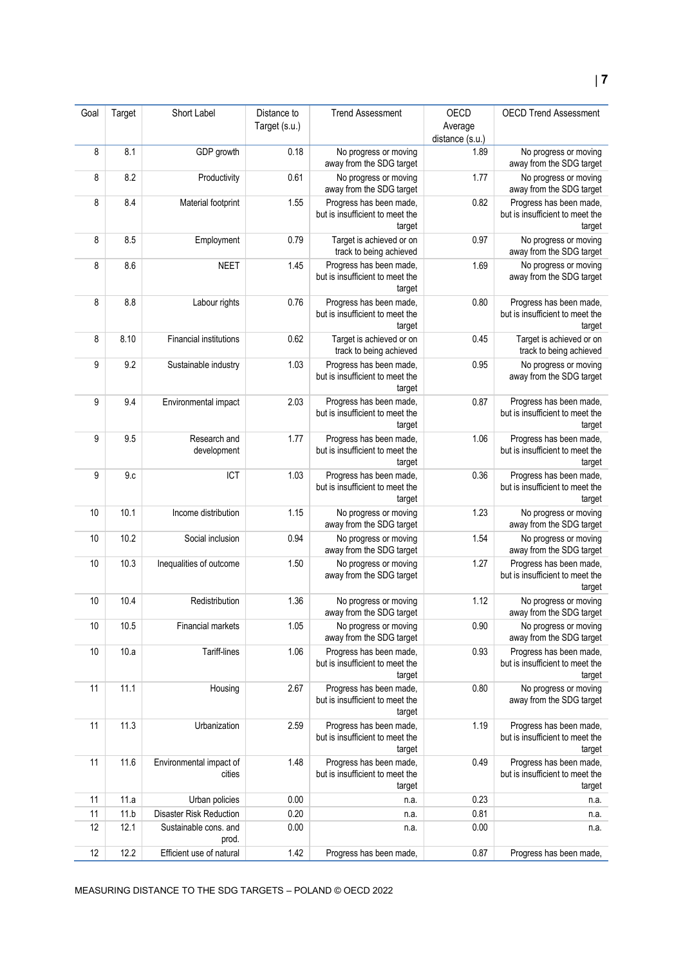| Goal | Target | Short Label                       | Distance to   | <b>Trend Assessment</b>                                              | OECD            | <b>OECD Trend Assessment</b>                                         |
|------|--------|-----------------------------------|---------------|----------------------------------------------------------------------|-----------------|----------------------------------------------------------------------|
|      |        |                                   | Target (s.u.) |                                                                      | Average         |                                                                      |
|      |        |                                   |               |                                                                      | distance (s.u.) |                                                                      |
| 8    | 8.1    | GDP growth                        | 0.18          | No progress or moving<br>away from the SDG target                    | 1.89            | No progress or moving<br>away from the SDG target                    |
| 8    | 8.2    | Productivity                      | 0.61          | No progress or moving<br>away from the SDG target                    | 1.77            | No progress or moving<br>away from the SDG target                    |
| 8    | 8.4    | Material footprint                | 1.55          | Progress has been made,<br>but is insufficient to meet the<br>target | 0.82            | Progress has been made,<br>but is insufficient to meet the<br>target |
| 8    | 8.5    | Employment                        | 0.79          | Target is achieved or on<br>track to being achieved                  | 0.97            | No progress or moving<br>away from the SDG target                    |
| 8    | 8.6    | <b>NEET</b>                       | 1.45          | Progress has been made,<br>but is insufficient to meet the<br>target | 1.69            | No progress or moving<br>away from the SDG target                    |
| 8    | 8.8    | Labour rights                     | 0.76          | Progress has been made,<br>but is insufficient to meet the<br>target | 0.80            | Progress has been made,<br>but is insufficient to meet the<br>target |
| 8    | 8.10   | <b>Financial institutions</b>     | 0.62          | Target is achieved or on<br>track to being achieved                  | 0.45            | Target is achieved or on<br>track to being achieved                  |
| 9    | 9.2    | Sustainable industry              | 1.03          | Progress has been made,<br>but is insufficient to meet the<br>target | 0.95            | No progress or moving<br>away from the SDG target                    |
| 9    | 9.4    | Environmental impact              | 2.03          | Progress has been made,<br>but is insufficient to meet the<br>target | 0.87            | Progress has been made,<br>but is insufficient to meet the<br>target |
| 9    | 9.5    | Research and<br>development       | 1.77          | Progress has been made,<br>but is insufficient to meet the<br>target | 1.06            | Progress has been made,<br>but is insufficient to meet the<br>target |
| 9    | 9.c    | ICT                               | 1.03          | Progress has been made,<br>but is insufficient to meet the<br>target | 0.36            | Progress has been made,<br>but is insufficient to meet the<br>target |
| 10   | 10.1   | Income distribution               | 1.15          | No progress or moving<br>away from the SDG target                    | 1.23            | No progress or moving<br>away from the SDG target                    |
| 10   | 10.2   | Social inclusion                  | 0.94          | No progress or moving<br>away from the SDG target                    | 1.54            | No progress or moving<br>away from the SDG target                    |
| 10   | 10.3   | Inequalities of outcome           | 1.50          | No progress or moving<br>away from the SDG target                    | 1.27            | Progress has been made,<br>but is insufficient to meet the<br>target |
| 10   | 10.4   | Redistribution                    | 1.36          | No progress or moving<br>away from the SDG target                    | 1.12            | No progress or moving<br>away from the SDG target                    |
| 10   | 10.5   | Financial markets                 | 1.05          | No progress or moving<br>away from the SDG target                    | 0.90            | No progress or moving<br>away from the SDG target                    |
| 10   | 10.a   | Tariff-lines                      | 1.06          | Progress has been made,<br>but is insufficient to meet the<br>target | 0.93            | Progress has been made,<br>but is insufficient to meet the<br>target |
| 11   | 11.1   | Housing                           | 2.67          | Progress has been made,<br>but is insufficient to meet the<br>target | 0.80            | No progress or moving<br>away from the SDG target                    |
| 11   | 11.3   | Urbanization                      | 2.59          | Progress has been made,<br>but is insufficient to meet the<br>target | 1.19            | Progress has been made,<br>but is insufficient to meet the<br>target |
| 11   | 11.6   | Environmental impact of<br>cities | 1.48          | Progress has been made,<br>but is insufficient to meet the<br>target | 0.49            | Progress has been made,<br>but is insufficient to meet the<br>target |
| 11   | 11.a   | Urban policies                    | 0.00          | n.a.                                                                 | 0.23            | n.a.                                                                 |
| 11   | 11.b   | Disaster Risk Reduction           | 0.20          | n.a.                                                                 | 0.81            | n.a.                                                                 |
| 12   | 12.1   | Sustainable cons. and<br>prod.    | 0.00          | n.a.                                                                 | 0.00            | n.a.                                                                 |
| 12   | 12.2   | Efficient use of natural          | 1.42          | Progress has been made,                                              | 0.87            | Progress has been made,                                              |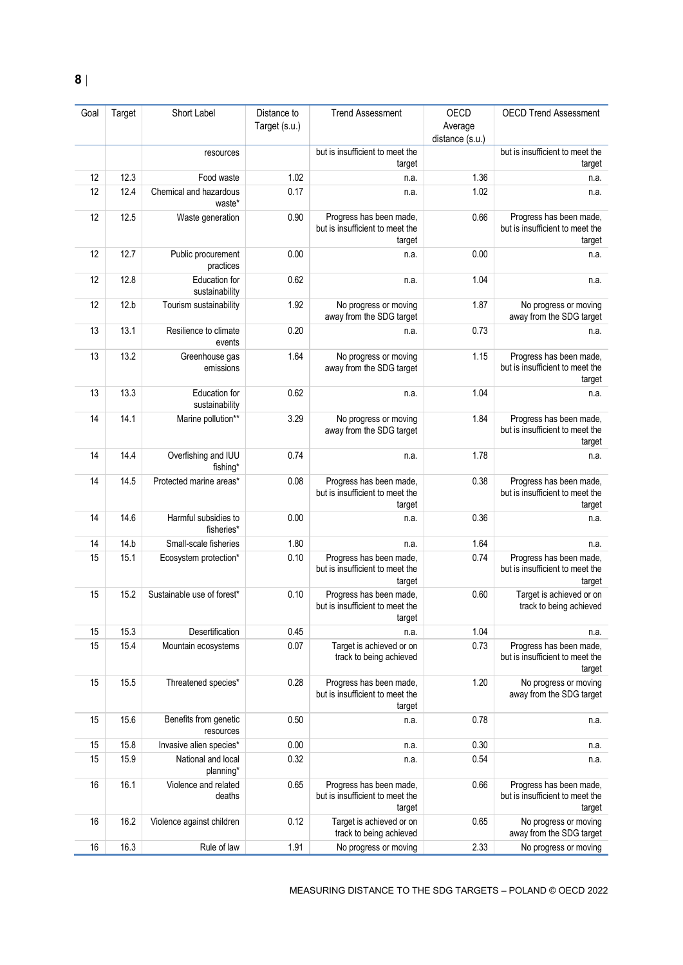| Goal | Target | Short Label                        | Distance to<br>Target (s.u.) | <b>Trend Assessment</b>                                              | OECD<br>Average | <b>OECD Trend Assessment</b>                                         |
|------|--------|------------------------------------|------------------------------|----------------------------------------------------------------------|-----------------|----------------------------------------------------------------------|
|      |        | resources                          |                              | but is insufficient to meet the<br>target                            | distance (s.u.) | but is insufficient to meet the<br>target                            |
| 12   | 12.3   | Food waste                         | 1.02                         | n.a.                                                                 | 1.36            | n.a.                                                                 |
| 12   | 12.4   | Chemical and hazardous<br>waste*   | 0.17                         | n.a.                                                                 | 1.02            | n.a.                                                                 |
| 12   | 12.5   | Waste generation                   | 0.90                         | Progress has been made,<br>but is insufficient to meet the<br>target | 0.66            | Progress has been made,<br>but is insufficient to meet the<br>target |
| 12   | 12.7   | Public procurement<br>practices    | 0.00                         | n.a.                                                                 | 0.00            | n.a.                                                                 |
| 12   | 12.8   | Education for<br>sustainability    | 0.62                         | n.a.                                                                 | 1.04            | n.a.                                                                 |
| 12   | 12.b   | Tourism sustainability             | 1.92                         | No progress or moving<br>away from the SDG target                    | 1.87            | No progress or moving<br>away from the SDG target                    |
| 13   | 13.1   | Resilience to climate<br>events    | 0.20                         | n.a.                                                                 | 0.73            | n.a.                                                                 |
| 13   | 13.2   | Greenhouse gas<br>emissions        | 1.64                         | No progress or moving<br>away from the SDG target                    | 1.15            | Progress has been made,<br>but is insufficient to meet the<br>target |
| 13   | 13.3   | Education for<br>sustainability    | 0.62                         | n.a.                                                                 | 1.04            | n.a.                                                                 |
| 14   | 14.1   | Marine pollution**                 | 3.29                         | No progress or moving<br>away from the SDG target                    | 1.84            | Progress has been made,<br>but is insufficient to meet the<br>target |
| 14   | 14.4   | Overfishing and IUU<br>fishing*    | 0.74                         | n.a.                                                                 | 1.78            | n.a.                                                                 |
| 14   | 14.5   | Protected marine areas*            | 0.08                         | Progress has been made,<br>but is insufficient to meet the<br>target | 0.38            | Progress has been made,<br>but is insufficient to meet the<br>target |
| 14   | 14.6   | Harmful subsidies to<br>fisheries* | 0.00                         | n.a.                                                                 | 0.36            | n.a.                                                                 |
| 14   | 14.b   | Small-scale fisheries              | 1.80                         | n.a.                                                                 | 1.64            | n.a.                                                                 |
| 15   | 15.1   | Ecosystem protection*              | 0.10                         | Progress has been made,<br>but is insufficient to meet the<br>target | 0.74            | Progress has been made,<br>but is insufficient to meet the<br>target |
| 15   | 15.2   | Sustainable use of forest*         | 0.10                         | Progress has been made,<br>but is insufficient to meet the<br>target | 0.60            | Target is achieved or on<br>track to being achieved                  |
| 15   | 15.3   | Desertification                    | 0.45                         | n.a.                                                                 | 1.04            | n.a.                                                                 |
| 15   | 15.4   | Mountain ecosystems                | 0.07                         | Target is achieved or on<br>track to being achieved                  | 0.73            | Progress has been made,<br>but is insufficient to meet the<br>target |
| 15   | 15.5   | Threatened species*                | 0.28                         | Progress has been made,<br>but is insufficient to meet the<br>target | 1.20            | No progress or moving<br>away from the SDG target                    |
| 15   | 15.6   | Benefits from genetic<br>resources | 0.50                         | n.a.                                                                 | 0.78            | n.a.                                                                 |
| 15   | 15.8   | Invasive alien species*            | 0.00                         | n.a.                                                                 | 0.30            | n.a.                                                                 |
| 15   | 15.9   | National and local<br>planning*    | 0.32                         | n.a.                                                                 | 0.54            | n.a.                                                                 |
| 16   | 16.1   | Violence and related<br>deaths     | 0.65                         | Progress has been made,<br>but is insufficient to meet the<br>target | 0.66            | Progress has been made,<br>but is insufficient to meet the<br>target |
| 16   | 16.2   | Violence against children          | 0.12                         | Target is achieved or on<br>track to being achieved                  | 0.65            | No progress or moving<br>away from the SDG target                    |
| 16   | 16.3   | Rule of law                        | 1.91                         | No progress or moving                                                | 2.33            | No progress or moving                                                |

MEASURING DISTANCE TO THE SDG TARGETS – POLAND © OECD 2022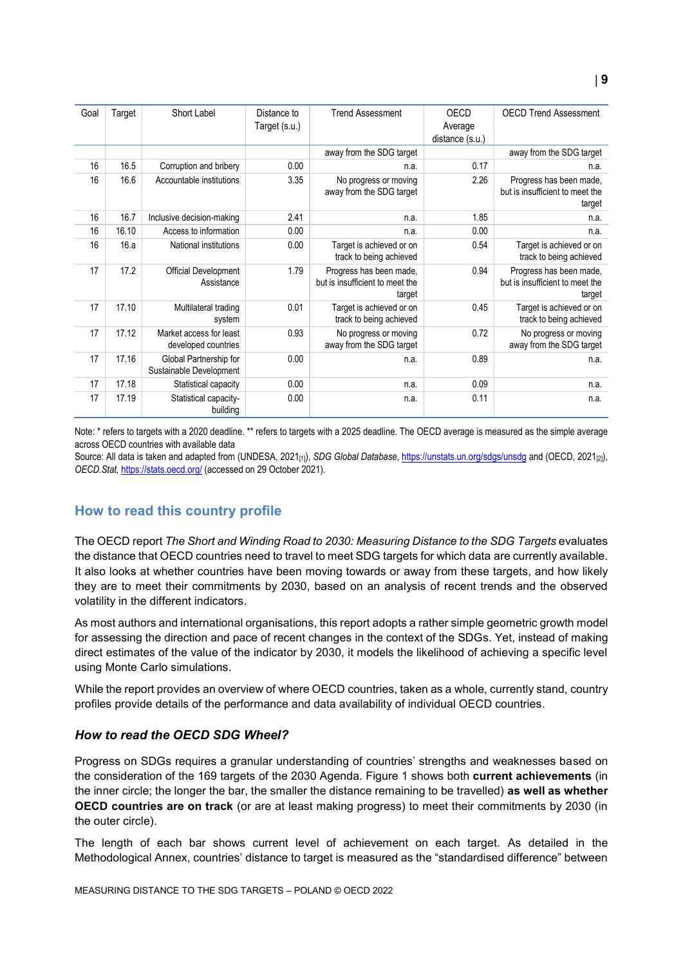| Goal | Target | Short Label                                       | Distance to   | <b>Trend Assessment</b>                                              | OECD            | <b>OECD Trend Assessment</b>                                         |
|------|--------|---------------------------------------------------|---------------|----------------------------------------------------------------------|-----------------|----------------------------------------------------------------------|
|      |        |                                                   | Target (s.u.) |                                                                      | Average         |                                                                      |
|      |        |                                                   |               |                                                                      | distance (s.u.) |                                                                      |
|      |        |                                                   |               | away from the SDG target                                             |                 | away from the SDG target                                             |
| 16   | 16.5   | Corruption and bribery                            | 0.00          | n.a.                                                                 | 0.17            | n.a.                                                                 |
| 16   | 16.6   | Accountable institutions                          | 3.35          | No progress or moving<br>away from the SDG target                    | 2.26            | Progress has been made,<br>but is insufficient to meet the<br>target |
| 16   | 16.7   | Inclusive decision-making                         | 2.41          | n.a.                                                                 | 1.85            | n.a.                                                                 |
| 16   | 16.10  | Access to information                             | 0.00          | n.a.                                                                 | 0.00            | n.a.                                                                 |
| 16   | 16.a   | National institutions                             | 0.00          | Target is achieved or on<br>track to being achieved                  | 0.54            | Target is achieved or on<br>track to being achieved                  |
| 17   | 17.2   | <b>Official Development</b><br>Assistance         | 1.79          | Progress has been made,<br>but is insufficient to meet the<br>target | 0.94            | Progress has been made,<br>but is insufficient to meet the<br>target |
| 17   | 17.10  | Multilateral trading<br>system                    | 0.01          | Target is achieved or on<br>track to being achieved                  | 0.45            | Target is achieved or on<br>track to being achieved                  |
| 17   | 17.12  | Market access for least<br>developed countries    | 0.93          | No progress or moving<br>away from the SDG target                    | 0.72            | No progress or moving<br>away from the SDG target                    |
| 17   | 17.16  | Global Partnership for<br>Sustainable Development | 0.00          | n.a.                                                                 | 0.89            | n.a.                                                                 |
| 17   | 17.18  | Statistical capacity                              | 0.00          | n.a.                                                                 | 0.09            | n.a.                                                                 |
| 17   | 17.19  | Statistical capacity-<br>building                 | 0.00          | n.a.                                                                 | 0.11            | n.a.                                                                 |

Note: \* refers to targets with a 2020 deadline. \*\* refers to targets with a 2025 deadline. The OECD average is measured as the simple average across OECD countries with available data

Source: All data is taken and adapted from (UNDESA, 2021<sub>[1]</sub>), *SDG Global Database*[, https://unstats.un.org/sdgs/unsdg](https://unstats.un.org/sdgs/unsdg) and (OECD, 2021<sub>[2]</sub>), *OECD.Stat,* <https://stats.oecd.org/> (accessed on 29 October 2021).

## <span id="page-8-0"></span>**How to read this country profile**

The OECD report *The Short and Winding Road to 2030: Measuring Distance to the SDG Targets* evaluates the distance that OECD countries need to travel to meet SDG targets for which data are currently available. It also looks at whether countries have been moving towards or away from these targets, and how likely they are to meet their commitments by 2030, based on an analysis of recent trends and the observed volatility in the different indicators.

As most authors and international organisations, this report adopts a rather simple geometric growth model for assessing the direction and pace of recent changes in the context of the SDGs. Yet, instead of making direct estimates of the value of the indicator by 2030, it models the likelihood of achieving a specific level using Monte Carlo simulations.

While the report provides an overview of where OECD countries, taken as a whole, currently stand, country profiles provide details of the performance and data availability of individual OECD countries.

#### *How to read the OECD SDG Wheel?*

Progress on SDGs requires a granular understanding of countries' strengths and weaknesses based on the consideration of the 169 targets of the 2030 Agenda. [Figure](#page-0-0) 1 shows both **current achievements** (in the inner circle; the longer the bar, the smaller the distance remaining to be travelled) **as well as whether OECD countries are on track** (or are at least making progress) to meet their commitments by 2030 (in the outer circle).

The length of each bar shows current level of achievement on each target. As detailed in the Methodological Annex, countries' distance to target is measured as the "standardised difference" between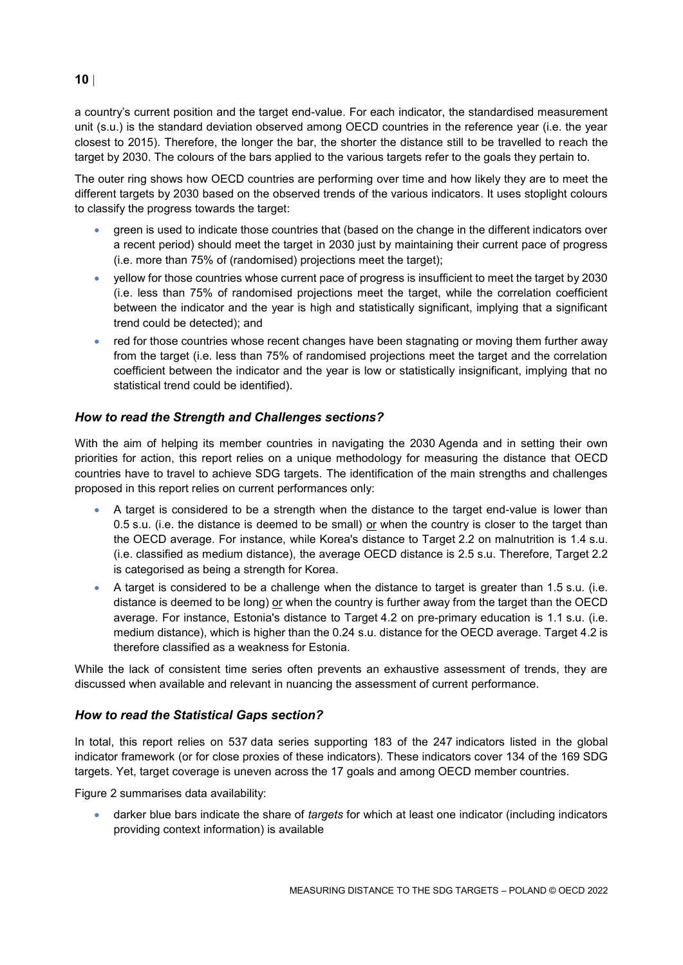a country's current position and the target end-value. For each indicator, the standardised measurement unit (s.u.) is the standard deviation observed among OECD countries in the reference year (i.e. the year closest to 2015). Therefore, the longer the bar, the shorter the distance still to be travelled to reach the target by 2030. The colours of the bars applied to the various targets refer to the goals they pertain to.

The outer ring shows how OECD countries are performing over time and how likely they are to meet the different targets by 2030 based on the observed trends of the various indicators. It uses stoplight colours to classify the progress towards the target:

- green is used to indicate those countries that (based on the change in the different indicators over a recent period) should meet the target in 2030 just by maintaining their current pace of progress (i.e. more than 75% of (randomised) projections meet the target);
- yellow for those countries whose current pace of progress is insufficient to meet the target by 2030 (i.e. less than 75% of randomised projections meet the target, while the correlation coefficient between the indicator and the year is high and statistically significant, implying that a significant trend could be detected); and
- red for those countries whose recent changes have been stagnating or moving them further away from the target (i.e. less than 75% of randomised projections meet the target and the correlation coefficient between the indicator and the year is low or statistically insignificant, implying that no statistical trend could be identified).

## *How to read the Strength and Challenges sections?*

With the aim of helping its member countries in navigating the 2030 Agenda and in setting their own priorities for action, this report relies on a unique methodology for measuring the distance that OECD countries have to travel to achieve SDG targets. The identification of the main strengths and challenges proposed in this report relies on current performances only:

- A target is considered to be a strength when the distance to the target end-value is lower than 0.5 s.u. (i.e. the distance is deemed to be small) or when the country is closer to the target than the OECD average. For instance, while Korea's distance to Target 2.2 on malnutrition is 1.4 s.u. (i.e. classified as medium distance), the average OECD distance is 2.5 s.u. Therefore, Target 2.2 is categorised as being a strength for Korea.
- A target is considered to be a challenge when the distance to target is greater than 1.5 s.u. (i.e. distance is deemed to be long) or when the country is further away from the target than the OECD average. For instance, Estonia's distance to Target 4.2 on pre-primary education is 1.1 s.u. (i.e. medium distance), which is higher than the 0.24 s.u. distance for the OECD average. Target 4.2 is therefore classified as a weakness for Estonia.

While the lack of consistent time series often prevents an exhaustive assessment of trends, they are discussed when available and relevant in nuancing the assessment of current performance.

## *How to read the Statistical Gaps section?*

In total, this report relies on 537 data series supporting 183 of the 247 indicators listed in the global indicator framework (or for close proxies of these indicators). These indicators cover 134 of the 169 SDG targets. Yet, target coverage is uneven across the 17 goals and among OECD member countries.

[Figure](#page-3-0) 2 summarises data availability:

 darker blue bars indicate the share of *targets* for which at least one indicator (including indicators providing context information) is available

## **10**